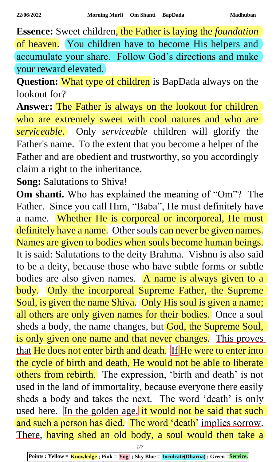**Essence:** Sweet children, the Father is laying the *foundation* of heaven. You children have to become His helpers and accumulate your share. Follow God's directions and make your reward elevated.

**Question:** What type of children is BapDada always on the lookout for?

**Answer:** The Father is always on the lookout for children who are extremely sweet with cool natures and who are *serviceable*. Only *serviceable* children will glorify the Father's name. To the extent that you become a helper of the Father and are obedient and trustworthy, so you accordingly claim a right to the inheritance.

**Song:** Salutations to Shiva!

**Om shanti.** Who has explained the meaning of "Om"? The Father. Since you call Him, "Baba", He must definitely have a name. Whether He is corporeal or incorporeal, He must definitely have a name. Other souls can never be given names. Names are given to bodies when souls become human beings. It is said: Salutations to the deity Brahma. Vishnu is also said to be a deity, because those who have subtle forms or subtle bodies are also given names.  $\overline{A}$  name is always given to a body. Only the incorporeal Supreme Father, the Supreme Soul, is given the name Shiva. Only His soul is given a name; all others are only given names for their bodies. Once a soul sheds a body, the name changes, but God, the Supreme Soul, is only given one name and that never changes. This proves that He does not enter birth and death. If He were to enter into the cycle of birth and death, He would not be able to liberate others from rebirth. The expression, 'birth and death' is not used in the land of immortality, because everyone there easily sheds a body and takes the next. The word 'death' is only used here. In the golden age, it would not be said that such and such a person has died. The word 'death' implies sorrow. There, having shed an old body, a soul would then take a

*1/7*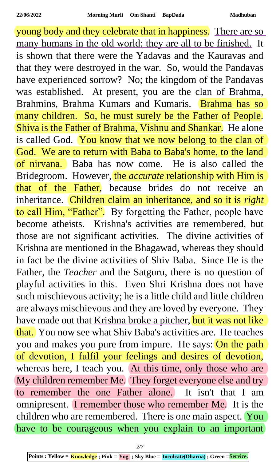young body and they celebrate that in happiness. There are so many humans in the old world; they are all to be finished. It is shown that there were the Yadavas and the Kauravas and that they were destroyed in the war. So, would the Pandavas have experienced sorrow? No; the kingdom of the Pandavas was established. At present, you are the clan of Brahma, Brahmins, Brahma Kumars and Kumaris. Brahma has so many children. So, he must surely be the Father of People. Shiva is the Father of Brahma, Vishnu and Shankar. He alone is called God. You know that we now belong to the clan of God. We are to return with Baba to Baba's home, to the land of nirvana. Baba has now come. He is also called the Bridegroom. However, the *accurate* relationship with Him is that of the Father, because brides do not receive an inheritance. Children claim an inheritance, and so it is *right* to call Him, "Father". By forgetting the Father, people have become atheists. Krishna's activities are remembered, but those are not significant activities. The divine activities of Krishna are mentioned in the Bhagawad, whereas they should in fact be the divine activities of Shiv Baba. Since He is the Father, the *Teacher* and the Satguru, there is no question of playful activities in this. Even Shri Krishna does not have such mischievous activity; he is a little child and little children are always mischievous and they are loved by everyone. They have made out that Krishna broke a pitcher, but it was not like that. You now see what Shiv Baba's activities are. He teaches you and makes you pure from impure. He says: On the path of devotion, I fulfil your feelings and desires of devotion, whereas here, I teach you. At this time, only those who are My children remember Me. They forget everyone else and try to remember the one Father alone. It isn't that I am omnipresent. I remember those who remember Me. It is the children who are remembered. There is one main aspect. You have to be courageous when you explain to an important

*2/7*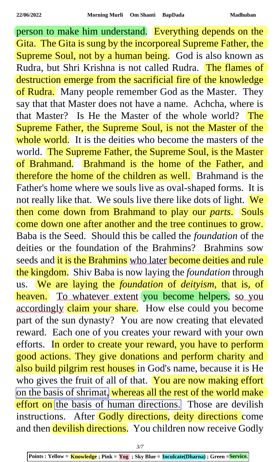person to make him understand. Everything depends on the Gita. The Gita is sung by the incorporeal Supreme Father, the Supreme Soul, not by a human being. God is also known as Rudra, but Shri Krishna is not called Rudra. The flames of destruction emerge from the sacrificial fire of the knowledge of Rudra. Many people remember God as the Master. They say that that Master does not have a name. Achcha, where is that Master? Is He the Master of the whole world? The Supreme Father, the Supreme Soul, is not the Master of the whole world. It is the deities who become the masters of the world. The Supreme Father, the Supreme Soul, is the Master of Brahmand. Brahmand is the home of the Father, and therefore the home of the children as well. Brahmand is the Father's home where we souls live as oval-shaped forms. It is not really like that. We souls live there like dots of light. We then come down from Brahmand to play our *parts*. Souls come down one after another and the tree continues to grow. Baba is the Seed. Should this be called the *foundation* of the deities or the foundation of the Brahmins? Brahmins sow seeds and it is the Brahmins who later become deities and rule the kingdom. Shiv Baba is now laying the *foundation* through us. We are laying the *foundation* of *deityism*, that is, of heaven. To whatever extent you become helpers, so you accordingly claim your share. How else could you become part of the sun dynasty? You are now creating that elevated reward. Each one of you creates your reward with your own efforts. In order to create your reward, you have to perform good actions. They give donations and perform charity and also build pilgrim rest houses in God's name, because it is He who gives the fruit of all of that. You are now making effort on the basis of shrimat, whereas all the rest of the world make effort on the basis of human directions. Those are devilish instructions. After Godly directions, deity directions come and then devilish directions. You children now receive Godly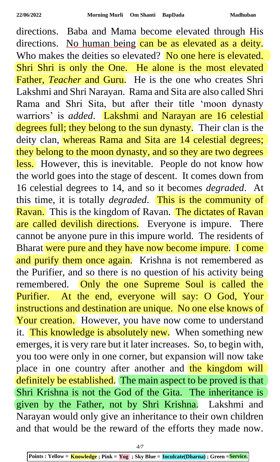directions. Baba and Mama become elevated through His directions. No human being can be as elevated as a deity. Who makes the deities so elevated? No one here is elevated. Shri Shri is only the One. He alone is the most elevated Father, *Teacher* and Guru. He is the one who creates Shri Lakshmi and Shri Narayan. Rama and Sita are also called Shri Rama and Shri Sita, but after their title 'moon dynasty warriors' is *added*. Lakshmi and Narayan are 16 celestial degrees full; they belong to the sun dynasty. Their clan is the deity clan, whereas Rama and Sita are 14 celestial degrees; they belong to the moon dynasty, and so they are two degrees less. However, this is inevitable. People do not know how the world goes into the stage of descent. It comes down from 16 celestial degrees to 14, and so it becomes *degraded*. At this time, it is totally *degraded*. This is the community of Ravan. This is the kingdom of Ravan. The dictates of Ravan are called devilish directions. Everyone is impure. There cannot be anyone pure in this impure world. The residents of Bharat were pure and they have now become impure. I come and purify them once again. Krishna is not remembered as the Purifier, and so there is no question of his activity being remembered. Only the one Supreme Soul is called the Purifier. At the end, everyone will say: O God, Your instructions and destination are unique. No one else knows of Your creation. However, you have now come to understand it. This knowledge is absolutely new. When something new emerges, it is very rare but it later increases. So, to begin with, you too were only in one corner, but expansion will now take place in one country after another and the kingdom will definitely be established. The main aspect to be proved is that Shri Krishna is not the God of the Gita. The inheritance is given by the Father, not by Shri Krishna. Lakshmi and Narayan would only give an inheritance to their own children and that would be the reward of the efforts they made now.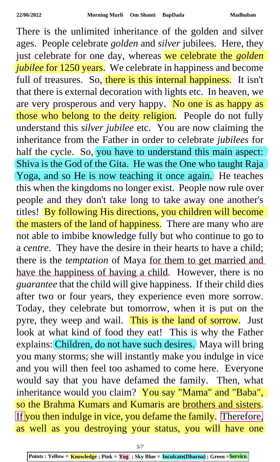There is the unlimited inheritance of the golden and silver ages. People celebrate *golden* and *silver* jubilees. Here, they just celebrate for one day, whereas we celebrate the *golden jubilee* for 1250 years. We celebrate in happiness and become full of treasures. So, there is this internal happiness. It isn't that there is external decoration with lights etc. In heaven, we are very prosperous and very happy. No one is as happy as those who belong to the deity religion. People do not fully understand this *silver jubilee* etc. You are now claiming the inheritance from the Father in order to celebrate *jubilees* for half the cycle. So, you have to understand this main aspect: Shiva is the God of the Gita. He was the One who taught Raja Yoga, and so He is now teaching it once again. He teaches this when the kingdoms no longer exist. People now rule over people and they don't take long to take away one another's titles! By following His directions, you children will become the masters of the land of happiness. There are many who are not able to imbibe knowledge fully but who continue to go to a *centre*. They have the desire in their hearts to have a child; there is the *temptation* of Maya for them to get married and have the happiness of having a child. However, there is no *guarantee* that the child will give happiness. If their child dies after two or four years, they experience even more sorrow. Today, they celebrate but tomorrow, when it is put on the pyre, they weep and wail. This is the land of sorrow. Just look at what kind of food they eat! This is why the Father explains: Children, do not have such desires. Maya will bring you many storms; she will instantly make you indulge in vice and you will then feel too ashamed to come here. Everyone would say that you have defamed the family. Then, what inheritance would you claim? You say "Mama" and "Baba", so the Brahma Kumars and Kumaris are brothers and sisters. If you then indulge in vice, you defame the family. Therefore, as well as you destroying your status, you will have one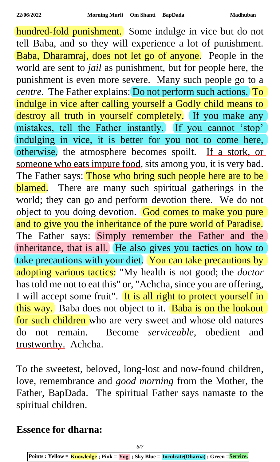hundred-fold punishment. Some indulge in vice but do not tell Baba, and so they will experience a lot of punishment. Baba, Dharamraj, does not let go of anyone. People in the world are sent to *jail* as punishment, but for people here, the punishment is even more severe. Many such people go to a *centre*. The Father explains: Do not perform such actions. To indulge in vice after calling yourself a Godly child means to destroy all truth in yourself completely. If you make any mistakes, tell the Father instantly. If you cannot 'stop' indulging in vice, it is better for you not to come here, otherwise, the atmosphere becomes spoilt. If a stork, or someone who eats impure food, sits among you, it is very bad. The Father says: Those who bring such people here are to be blamed. There are many such spiritual gatherings in the world; they can go and perform devotion there. We do not object to you doing devotion. God comes to make you pure and to give you the inheritance of the pure world of Paradise. The Father says: Simply remember the Father and the inheritance, that is all. He also gives you tactics on how to take precautions with your diet. You can take precautions by adopting various tactics: "My health is not good; the *doctor* has told me not to eat this" or, "Achcha, since you are offering, I will accept some fruit". It is all right to protect yourself in this way. Baba does not object to it. Baba is on the lookout for such children who are very sweet and whose old natures do not remain. Become *serviceable*, obedient and trustworthy. Achcha.

To the sweetest, beloved, long-lost and now-found children, love, remembrance and *good morning* from the Mother, the Father, BapDada. The spiritual Father says namaste to the spiritual children.

**Essence for dharna:**